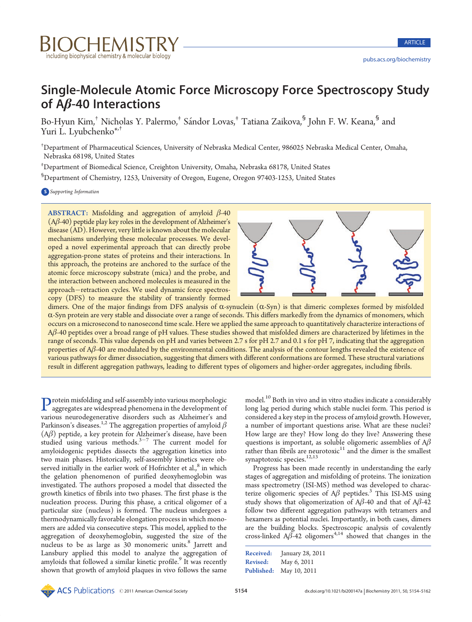

# Single-Molecule Atomic Force Microscopy Force Spectroscopy Study of Aβ-40 Interactions

Bo-Hyun Kim,<sup>†</sup> Nicholas Y. Palermo,<sup>†</sup> Sándor Lovas,<sup>†</sup> Tatiana Zaikova,<sup>§</sup> John F. W. Keana,<sup>§</sup> and Yuri L. Lyubchenko<sup>\*,†</sup>

† Department of Pharmaceutical Sciences, University of Nebraska Medical Center, 986025 Nebraska Medical Center, Omaha, Nebraska 68198, United States

‡ Department of Biomedical Science, Creighton University, Omaha, Nebraska 68178, United States

§ Department of Chemistry, 1253, University of Oregon, Eugene, Oregon 97403-1253, United States

**S** Supporting Information

ABSTRACT: Misfolding and aggregation of amyloid  $\beta$ -40  $(A\beta - 40)$  peptide play key roles in the development of Alzheimer's disease (AD). However, very little is known about the molecular mechanisms underlying these molecular processes. We developed a novel experimental approach that can directly probe aggregation-prone states of proteins and their interactions. In this approach, the proteins are anchored to the surface of the atomic force microscopy substrate (mica) and the probe, and the interaction between anchored molecules is measured in the approach-retraction cycles. We used dynamic force spectroscopy (DFS) to measure the stability of transiently formed



The Miss control of the Chemical Society 19 and 2011 and 2013 of the Chemical Society 19 and 2013 of the Chemical Society 19 and 2013 of the Chemical Society 19 and 2013 of the Chemical Society 19 and 2013 of the Chemical dimers. One of the major findings from DFS analysis of  $\alpha$ -synuclein  $(\alpha$ -Syn) is that dimeric complexes formed by misfolded R-Syn protein are very stable and dissociate over a range of seconds. This differs markedly from the dynamics of monomers, which occurs on a microsecond to nanosecond time scale. Here we applied the same approach to quantitatively characterize interactions of Aβ-40 peptides over a broad range of pH values. These studies showed that misfolded dimers are characterized by lifetimes in the range of seconds. This value depends on pH and varies between 2.7 s for pH 2.7 and 0.1 s for pH 7, indicating that the aggregation properties of  $A\beta$ -40 are modulated by the environmental conditions. The analysis of the contour lengths revealed the existence of various pathways for dimer dissociation, suggesting that dimers with different conformations are formed. These structural variations result in different aggregation pathways, leading to different types of oligomers and higher-order aggregates, including fibrils.

Protein misfolding and self-assembly into various morphologic aggregates are widespread phenomena in the development of various neurodegenerative disorders such as Alzheimer's and Parkinson's diseases.<sup>1,2</sup> The aggregation properties of amyloid  $\beta$  $(A\beta)$  peptide, a key protein for Alzheimer's disease, have been studied using various methods. $3-7$  The current model for amyloidogenic peptides dissects the aggregation kinetics into two main phases. Historically, self-assembly kinetics were observed initially in the earlier work of Hofrichter et al., $^8$  in which the gelation phenomenon of purified deoxyhemoglobin was investigated. The authors proposed a model that dissected the growth kinetics of fibrils into two phases. The first phase is the nucleation process. During this phase, a critical oligomer of a particular size (nucleus) is formed. The nucleus undergoes a thermodynamically favorable elongation process in which monomers are added via consecutive steps. This model, applied to the aggregation of deoxyhemoglobin, suggested the size of the nucleus to be as large as 30 monomeric units.<sup>8</sup> Jarrett and Lansbury applied this model to analyze the aggregation of amyloids that followed a similar kinetic profile.<sup>9</sup> It was recently shown that growth of amyloid plaques in vivo follows the same

model.<sup>10</sup> Both in vivo and in vitro studies indicate a considerably long lag period during which stable nuclei form. This period is considered a key step in the process of amyloid growth. However, a number of important questions arise. What are these nuclei? How large are they? How long do they live? Answering these questions is important, as soluble oligomeric assemblies of  $A\beta$ rather than fibrils are neurotoxic $11$  and the dimer is the smallest synaptotoxic species.<sup>12,13</sup>

Progress has been made recently in understanding the early stages of aggregation and misfolding of proteins. The ionization mass spectrometry (ISI-MS) method was developed to characterize oligomeric species of  $A\beta$  peptides.<sup>3</sup> This ISI-MS using study shows that oligomerization of  $A\beta$ -40 and that of  $A\beta$ -42 follow two different aggregation pathways with tetramers and hexamers as potential nuclei. Importantly, in both cases, dimers are the building blocks. Spectroscopic analysis of covalently cross-linked  $A\beta$ -42 oligomers<sup>4,14</sup> showed that changes in the

Published: May 10, 2011 Received: January 28, 2011 Revised: May 6, 2011

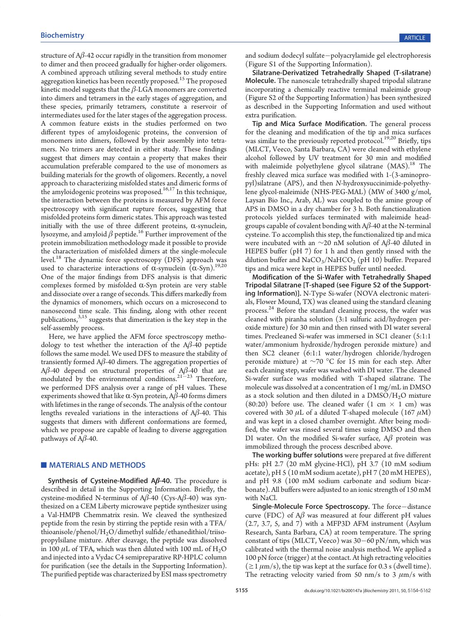structure of  $A\beta$ -42 occur rapidly in the transition from monomer to dimer and then proceed gradually for higher-order oligomers. A combined approach utilizing several methods to study entire aggregation kinetics has been recently proposed.<sup>15</sup> The proposed kinetic model suggests that the  $β$ -LGA monomers are converted into dimers and tetramers in the early stages of aggregation, and these species, primarily tetramers, constitute a reservoir of intermediates used for the later stages of the aggregation process. A common feature exists in the studies performed on two different types of amyloidogenic proteins, the conversion of monomers into dimers, followed by their assembly into tetramers. No trimers are detected in either study. These findings suggest that dimers may contain a property that makes their accumulation preferable compared to the use of monomers as building materials for the growth of oligomers. Recently, a novel approach to characterizing misfolded states and dimeric forms of the amyloidogenic proteins was proposed.<sup>16,17</sup> In this technique, the interaction between the proteins is measured by AFM force spectroscopy with significant rupture forces, suggesting that misfolded proteins form dimeric states. This approach was tested initially with the use of three different proteins,  $\alpha$ -synuclein, lysozyme, and amyloid  $\beta$  peptide.<sup>16</sup> Further improvement of the protein immobilization methodology made it possible to provide the characterization of misfolded dimers at the single-molecule level.<sup>18</sup> The dynamic force spectroscopy (DFS) approach was used to characterize interactions of  $\alpha$ -synuclein  $(\alpha$ -Syn).<sup>19,20</sup> One of the major findings from DFS analysis is that dimeric complexes formed by misfolded  $\alpha$ -Syn protein are very stable and dissociate over a range of seconds. This differs markedly from the dynamics of monomers, which occurs on a microsecond to nanosecond time scale. This finding, along with other recent publications,<sup>3,15</sup> suggests that dimerization is the key step in the self-assembly process.

Here, we have applied the AFM force spectroscopy methodology to test whether the interaction of the  $A\beta$ -40 peptide follows the same model. We used DFS to measure the stability of transiently formed  $A\beta$ -40 dimers. The aggregation properties of Aβ-40 depend on structural properties of Aβ-40 that are modulated by the environmental conditions. $21 - 23$  Therefore, we performed DFS analysis over a range of pH values. These experiments showed that like  $\alpha$ -Syn protein, A $\beta$ -40 forms dimers with lifetimes in the range of seconds. The analysis of the contour lengths revealed variations in the interactions of  $A\beta$ -40. This suggests that dimers with different conformations are formed, which we propose are capable of leading to diverse aggregation pathways of  $A\beta$ -40.

# **MATERIALS AND METHODS**

Synthesis of Cysteine-Modified  $A\beta$ -40. The procedure is described in detail in the Supporting Information. Briefly, the cysteine-modified N-terminus of  $A\beta$ -40 (Cys-A $\beta$ -40) was synthesized on a CEM Liberty microwave peptide synthesizer using a Val-HMPB Chemmatrix resin. We cleaved the synthesized peptide from the resin by stirring the peptide resin with a TFA/ thioanisole/phenol/H2O/dimethyl sulfide/ethanedithiol/triisopropylsilane mixture. After cleavage, the peptide was dissolved in 100  $\mu$ L of TFA, which was then diluted with 100 mL of H<sub>2</sub>O and injected into a Vydac C4 semipreparative RP-HPLC column for purification (see the details in the Supporting Information). The purified peptide was characterized by ESI mass spectrometry and sodium dodecyl sulfate-polyacrylamide gel electrophoresis (Figure S1 of the Supporting Information).

Silatrane-Derivatized Tetrahedrally Shaped (T-silatrane) Molecule. The nanoscale tetrahedrally shaped tripodal silatrane incorporating a chemically reactive terminal maleimide group (Figure S2 of the Supporting Information) has been synthesized as described in the Supporting Information and used without extra purification.

Tip and Mica Surface Modification. The general process for the cleaning and modification of the tip and mica surfaces was similar to the previously reported protocol.<sup>19,20</sup> Briefly, tips (MLCT, Veeco, Santa Barbara, CA) were cleaned with ethylene alcohol followed by UV treatment for 30 min and modified with maleimide polyethylene glycol silatrane (MAS).<sup>18</sup> The freshly cleaved mica surface was modified with 1-(3-aminopropyl)silatrane (APS), and then N-hydroxysuccinimide-polyethylene glycol-maleimide (NHS-PEG-MAL) (MW of 3400 g/mol, Laysan Bio Inc., Arab, AL) was coupled to the amine group of APS in DMSO in a dry chamber for 3 h. Both functionalization protocols yielded surfaces terminated with maleimide headgroups capable of covalent bonding with  $A\beta$ -40 at the N-terminal cysteine. To accomplish this step, the functionalized tip and mica were incubated with an  $\sim$ 20 nM solution of A $\beta$ -40 diluted in HEPES buffer (pH 7) for 1 h and then gently rinsed with the dilution buffer and  $NaCO<sub>3</sub>/NaHCO<sub>2</sub>$  (pH 10) buffer. Prepared tips and mica were kept in HEPES buffer until needed.

Modification of the Si-Wafer with Tetrahedrally Shaped Tripodal Silatrane [T-shaped (see Figure S2 of the Supporting Information)]. N-Type Si-wafer (NOVA electronic materials, Flower Mound, TX) was cleaned using the standard cleaning process.<sup>24</sup> Before the standard cleaning process, the wafer was cleaned with piranha solution (3:1 sulfuric acid/hydrogen peroxide mixture) for 30 min and then rinsed with DI water several times. Precleaned Si-wafer was immersed in SC1 cleaner (5:1:1 water/ammonium hydroxide/hydrogen peroxide mixture) and then SC2 cleaner (6:1:1 water/hydrogen chloride/hydrogen peroxide mixture) at ~70 °C for 15 min for each step. After each cleaning step, wafer was washed with DI water. The cleaned Si-wafer surface was modified with T-shaped silatrane. The molecule was dissolved at a concentration of 1 mg/mL in DMSO as a stock solution and then diluted in a  $\rm{DMSO}/H_2O$  mixture (80:20) before use. The cleaned wafer (1 cm  $\times$  1 cm) was covered with 30  $\mu$ L of a diluted T-shaped molecule (167  $\mu$ M) and was kept in a closed chamber overnight. After being modified, the wafer was rinsed several times using DMSO and then DI water. On the modified Si-wafer surface,  $A\beta$  protein was immobilized through the process described above.

The working buffer solutions were prepared at five different pHs: pH 2.7 (20 mM glycine-HCl), pH 3.7 (10 mM sodium acetate), pH 5 (10 mM sodium acetate), pH 7 (20 mM HEPES), and pH 9.8 (100 mM sodium carbonate and sodium bicarbonate). All buffers were adjusted to an ionic strength of 150 mM with NaCl.

Single-Molecule Force Spectroscopy. The force-distance curve (FDC) of  $A\beta$  was measured at four different pH values (2.7, 3.7, 5, and 7) with a MFP3D AFM instrument (Asylum Research, Santa Barbara, CA) at room temperature. The spring constant of tips (MLCT, Veeco) was  $30-60$  pN/nm, which was calibrated with the thermal noise analysis method. We applied a 100 pN force (trigger) at the contact. At high retracting velocities  $(\geq 1 \mu m/s)$ , the tip was kept at the surface for 0.3 s (dwell time). The retracting velocity varied from 50 nm/s to 3  $\mu$ m/s with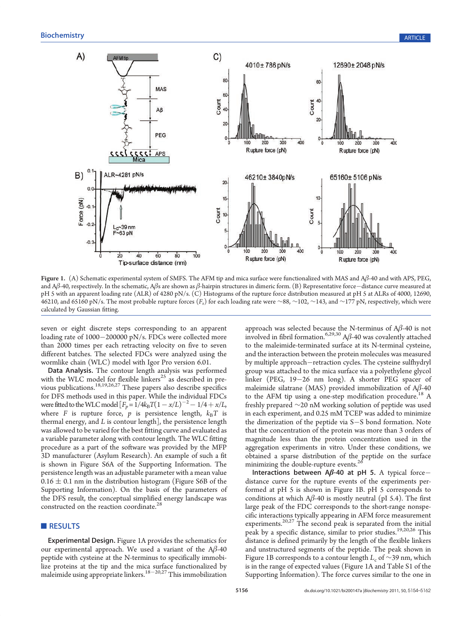

Figure 1. (A) Schematic experimental system of SMFS. The AFM tip and mica surface were functionalized with MAS and Aβ-40 and with APS, PEG, and A $\beta$ -40, respectively. In the schematic, A $\beta$ s are shown as  $\beta$ -hairpin structures in dimeric form. (B) Representative force—distance curve measured at pH 5 with an apparent loading rate (ALR) of 4280 pN/s. (C) Histograms of the rupture force distribution measured at pH 5 at ALRs of 4000, 12690, 46210, and 65160 pN/s. The most probable rupture forces (F<sub>r</sub>) for each loading rate were ∼88, ∼102, ∼143, and ∼177 pN, respectively, which were calculated by Gaussian fitting.

seven or eight discrete steps corresponding to an apparent loading rate of  $1000-200000$  pN/s. FDCs were collected more than 2000 times per each retracting velocity on five to seven different batches. The selected FDCs were analyzed using the wormlike chain (WLC) model with Igor Pro version 6.01.

Data Analysis. The contour length analysis was performed with the WLC model for flexible linkers<sup>25</sup> as described in previous publications.<sup>18,19,26,27</sup> These papers also describe specifics for DFS methods used in this paper. While the individual FDCs were fitted to the WLC model  $[F_p = 1/4k_B T(1 - x/L)^{-2} - 1/4 + x/L,$ where F is rupture force,  $p$  is persistence length,  $k_BT$  is thermal energy, and  $L$  is contour length  $\vert$ , the persistence length was allowed to be varied for the best fitting curve and evaluated as a variable parameter along with contour length. The WLC fitting procedure as a part of the software was provided by the MFP 3D manufacturer (Asylum Research). An example of such a fit is shown in Figure S6A of the Supporting Information. The persistence length was an adjustable parameter with a mean value  $0.16 \pm 0.1$  nm in the distribution histogram (Figure S6B of the Supporting Information). On the basis of the parameters of the DFS result, the conceptual simplified energy landscape was constructed on the reaction coordinate.<sup>2</sup>

## RESULTS

Experimental Design. Figure 1A provides the schematics for our experimental approach. We used a variant of the  $A\beta$ -40 peptide with cysteine at the N-terminus to specifically immobilize proteins at the tip and the mica surface functionalized by maleimide using appropriate linkers.<sup>18-20,27</sup> This immobilization

approach was selected because the N-terminus of Aβ-40 is not involved in fibril formation.<sup>6,29,30</sup> A $\beta$ -40 was covalently attached to the maleimide-terminated surface at its N-terminal cysteine, and the interaction between the protein molecules was measured by multiple approach-retraction cycles. The cysteine sulfhydryl group was attached to the mica surface via a polyethylene glycol linker (PEG,  $19-26$  nm long). A shorter PEG spacer of maleimide silatrane (MAS) provided immobilization of  $A\beta$ -40 to the AFM tip using a one-step modification procedure.<sup>18</sup> A freshly prepared ∼20 nM working solution of peptide was used in each experiment, and 0.25 mM TCEP was added to minimize the dimerization of the peptide via  $S-S$  bond formation. Note that the concentration of the protein was more than 3 orders of magnitude less than the protein concentration used in the aggregation experiments in vitro. Under these conditions, we obtained a sparse distribution of the peptide on the surface minimizing the double-rupture events.<sup>2</sup>

Interactions between  $A\beta$ -40 at pH 5. A typical forcedistance curve for the rupture events of the experiments performed at pH 5 is shown in Figure 1B. pH 5 corresponds to conditions at which  $A\beta$ -40 is mostly neutral (pI 5.4). The first large peak of the FDC corresponds to the short-range nonspecific interactions typically appearing in AFM force measurement experiments.<sup>20,27</sup> The second peak is separated from the initial peak by a specific distance, similar to prior studies.<sup>19,20,26</sup> This distance is defined primarily by the length of the flexible linkers and unstructured segments of the peptide. The peak shown in Figure 1B corresponds to a contour length  $L_c$  of ∼39 nm, which is in the range of expected values (Figure 1A and Table S1 of the Supporting Information). The force curves similar to the one in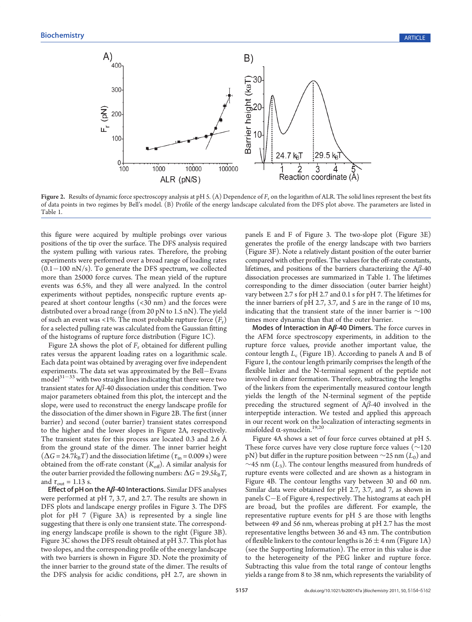

Figure 2. Results of dynamic force spectroscopy analysis at pH 5. (A) Dependence of  $F_r$  on the logarithm of ALR. The solid lines represent the best fits of data points in two regimes by Bell's model. (B) Profile of the energy landscape calculated from the DFS plot above. The parameters are listed in Table 1.

this figure were acquired by multiple probings over various positions of the tip over the surface. The DFS analysis required the system pulling with various rates. Therefore, the probing experiments were performed over a broad range of loading rates  $(0.1-100 \text{ nN/s})$ . To generate the DFS spectrum, we collected more than 25000 force curves. The mean yield of the rupture events was 6.5%, and they all were analyzed. In the control experiments without peptides, nonspecific rupture events appeared at short contour lengths (<30 nm) and the forces were distributed over a broad range (from 20 pN to 1.5 nN). The yield of such an event was <1%. The most probable rupture force  $(F_r)$ for a selected pulling rate was calculated from the Gaussian fitting of the histograms of rupture force distribution (Figure 1C).

Figure 2A shows the plot of  $F_r$  obtained for different pulling rates versus the apparent loading rates on a logarithmic scale. Each data point was obtained by averaging over five independent experiments. The data set was approximated by the Bell-Evans  $\text{model}^{31-33}$  with two straight lines indicating that there were two transient states for  $A\beta$ -40 dissociation under this condition. Two major parameters obtained from this plot, the intercept and the slope, were used to reconstruct the energy landscape profile for the dissociation of the dimer shown in Figure 2B. The first (inner barrier) and second (outer barrier) transient states correspond to the higher and the lower slopes in Figure 2A, respectively. The transient states for this process are located 0.3 and 2.6 Å from the ground state of the dimer. The inner barrier height  $(\Delta G = 24.7k_BT)$  and the dissociation lifetime  $(\tau_{in} = 0.009 \text{ s})$  were obtained from the off-rate constant  $(K_{\text{off}})$ . A similar analysis for the outer barrier provided the following numbers:  $\Delta G = 29.5k_BT$ , and  $\tau_{\text{out}} = 1.13$  s.

Effect of pH on the  $A\beta$ -40 Interactions. Similar DFS analyses were performed at pH 7, 3.7, and 2.7. The results are shown in DFS plots and landscape energy profiles in Figure 3. The DFS plot for pH 7 (Figure 3A) is represented by a single line suggesting that there is only one transient state. The corresponding energy landscape profile is shown to the right (Figure 3B). Figure 3C shows the DFS result obtained at pH 3.7. This plot has two slopes, and the corresponding profile of the energy landscape with two barriers is shown in Figure 3D. Note the proximity of the inner barrier to the ground state of the dimer. The results of the DFS analysis for acidic conditions, pH 2.7, are shown in

panels E and F of Figure 3. The two-slope plot (Figure 3E) generates the profile of the energy landscape with two barriers (Figure 3F). Note a relatively distant position of the outer barrier compared with other profiles. The values for the off-rate constants, lifetimes, and positions of the barriers characterizing the  $A\beta$ -40 dissociation processes are summarized in Table 1. The lifetimes corresponding to the dimer dissociation (outer barrier height) vary between 2.7 s for pH 2.7 and 0.1 s for pH 7. The lifetimes for the inner barriers of pH 2.7, 3.7, and 5 are in the range of 10 ms, indicating that the transient state of the inner barrier is  $\sim$ 100 times more dynamic than that of the outer barrier.

Modes of Interaction in  $A\beta$ -40 Dimers. The force curves in the AFM force spectroscopy experiments, in addition to the rupture force values, provide another important value, the contour length  $L_c$  (Figure 1B). According to panels A and B of Figure 1, the contour length primarily comprises the length of the flexible linker and the N-terminal segment of the peptide not involved in dimer formation. Therefore, subtracting the lengths of the linkers from the experimentally measured contour length yields the length of the N-terminal segment of the peptide preceding the structured segment of Aβ-40 involved in the interpeptide interaction. We tested and applied this approach in our recent work on the localization of interacting segments in misfolded  $\alpha$ -synuclein.<sup>19,20</sup>

Figure 4A shows a set of four force curves obtained at pH 5. These force curves have very close rupture force values ( $\sim$ 120 pN) but differ in the rupture position between  $\sim$ 25 nm  $(L_0)$  and  $\sim$ 45 nm (L<sub>3</sub>). The contour lengths measured from hundreds of rupture events were collected and are shown as a histogram in Figure 4B. The contour lengths vary between 30 and 60 nm. Similar data were obtained for pH 2.7, 3.7, and 7, as shown in panels  $C-E$  of Figure 4, respectively. The histograms at each pH are broad, but the profiles are different. For example, the representative rupture events for pH 5 are those with lengths between 49 and 56 nm, whereas probing at pH 2.7 has the most representative lengths between 36 and 43 nm. The contribution of flexible linkers to the contour lengths is  $26 \pm 4$  nm (Figure 1A) (see the Supporting Information). The error in this value is due to the heterogeneity of the PEG linker and rupture force. Subtracting this value from the total range of contour lengths yields a range from 8 to 38 nm, which represents the variability of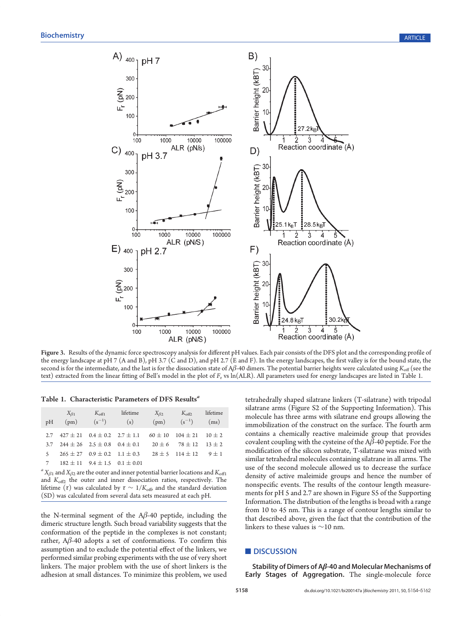

Figure 3. Results of the dynamic force spectroscopy analysis for different pH values. Each pair consists of the DFS plot and the corresponding profile of the energy landscape at pH 7 (A and B), pH 3.7 (C and D), and pH 2.7 (E and F). In the energy landscapes, the first valley is for the bound state, the second is for the intermediate, and the last is for the dissociation state of A $\beta$ -40 dimers. The potential barrier heights were calculated using  $K_{\text{off}}$  (see the text) extracted from the linear fitting of Bell's model in the plot of F<sub>r</sub> vs ln(ALR). All parameters used for energy landscapes are listed in Table 1.

Table 1. Characteristic Parameters of DFS Results<sup>a</sup>

| pH    | $X_{\beta 1}$<br>(pm)                        | $K_{\rm off1}$<br>$(s^{-1})$ | lifetime<br>(s)                                                                  | $X_{\beta 2}$<br>(pm) | $K_{\text{off2}}$<br>$(s^{-1})$   | lifetime<br>(ms) |
|-------|----------------------------------------------|------------------------------|----------------------------------------------------------------------------------|-----------------------|-----------------------------------|------------------|
|       |                                              |                              | 2.7 $427 \pm 21$ $0.4 \pm 0.2$ $2.7 \pm 1.1$ $60 \pm 10$ $104 \pm 21$ $10 \pm 2$ |                       |                                   |                  |
|       | 3.7 $244 \pm 26$ $2.5 \pm 0.8$ $0.4 \pm 0.1$ |                              |                                                                                  |                       | $20 \pm 6$ 78 $\pm$ 12 13 $\pm$ 2 |                  |
| $5 -$ | $265 \pm 27$ 0.9 $\pm$ 0.2 1.1 $\pm$ 0.3     |                              |                                                                                  |                       | $28 \pm 5$ 114 $\pm$ 12 9 $\pm$ 1 |                  |
|       | 7 $182 \pm 11$ $9.4 \pm 1.5$ $0.1 \pm 0.01$  |                              |                                                                                  |                       |                                   |                  |

 ${}^a\,X_{\beta 1}$  and  $X_{\beta 2}$  are the outer and inner potential barrier locations and  $K_{\rm off1}$ and  $K_{\text{off2}}$  the outer and inner dissociation ratios, respectively. The lifetime (τ) was calculated by  $\tau \sim 1/K_{\text{off}}$  and the standard deviation (SD) was calculated from several data sets measured at each pH.

the N-terminal segment of the  $A\beta$ -40 peptide, including the dimeric structure length. Such broad variability suggests that the conformation of the peptide in the complexes is not constant; rather,  $A\beta$ -40 adopts a set of conformations. To confirm this assumption and to exclude the potential effect of the linkers, we performed similar probing experiments with the use of very short linkers. The major problem with the use of short linkers is the adhesion at small distances. To minimize this problem, we used tetrahedrally shaped silatrane linkers (T-silatrane) with tripodal silatrane arms (Figure S2 of the Supporting Information). This molecule has three arms with silatrane end groups allowing the immobilization of the construct on the surface. The fourth arm contains a chemically reactive maleimide group that provides covalent coupling with the cysteine of the  $A\beta$ -40 peptide. For the modification of the silicon substrate, T-silatrane was mixed with similar tetrahedral molecules containing silatrane in all arms. The use of the second molecule allowed us to decrease the surface density of active maleimide groups and hence the number of nonspecific events. The results of the contour length measurements for pH 5 and 2.7 are shown in Figure S5 of the Supporting Information. The distribution of the lengths is broad with a range from 10 to 45 nm. This is a range of contour lengths similar to that described above, given the fact that the contribution of the linkers to these values is ∼10 nm.

# **DISCUSSION**

Stability of Dimers of Aβ-40 and Molecular Mechanisms of Early Stages of Aggregation. The single-molecule force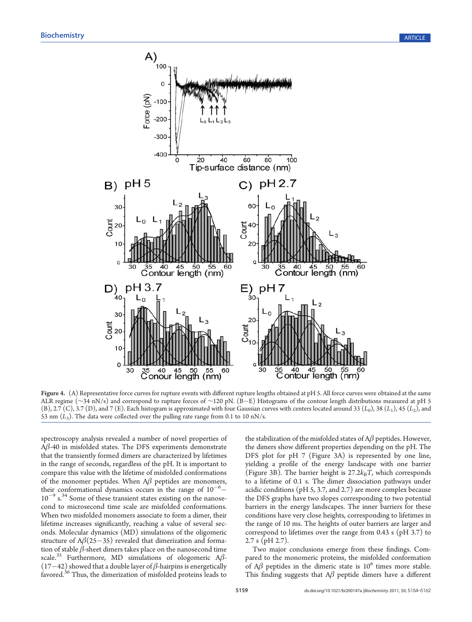

Figure 4. (A) Representative force curves for rupture events with different rupture lengths obtained at pH 5. All force curves were obtained at the same ALR regime (∼34 nN/s) and correspond to rupture forces of ∼120 pN. (B–E) Histograms of the contour length distributions measured at pH 5 (B), 2.7 (C), 3.7 (D), and 7 (E). Each histogram is approximated with four Gaussian curves with centers located around 33 ( $L_0$ ), 38 ( $L_1$ ), 45 ( $L_2$ ), and 53 nm  $(L_3)$ . The data were collected over the pulling rate range from 0.1 to 10 nN/s.

spectroscopy analysis revealed a number of novel properties of  $A\beta$ -40 in misfolded states. The DFS experiments demonstrate that the transiently formed dimers are characterized by lifetimes in the range of seconds, regardless of the pH. It is important to compare this value with the lifetime of misfolded conformations of the monomer peptides. When  $A\beta$  peptides are monomers, their conformational dynamics occurs in the range of  $10^{-6}$  –  $10^{-9}$  s.<sup>34</sup> Some of these transient states existing on the nanosecond to microsecond time scale are misfolded conformations. When two misfolded monomers associate to form a dimer, their lifetime increases significantly, reaching a value of several seconds. Molecular dynamics (MD) simulations of the oligomeric structure of  $A\beta(25-35)$  revealed that dimerization and formation of stable  $\beta$ -sheet dimers takes place on the nanosecond time scale.<sup>35</sup> Furthermore, MD simulations of ologomeric A $\beta$ - $(17-42)$  showed that a double layer of  $\beta$ -hairpins is energetically favored.<sup>36</sup> Thus, the dimerization of misfolded proteins leads to

the stabilization of the misfolded states of  $A\beta$  peptides. However, the dimers show different properties depending on the pH. The DFS plot for pH 7 (Figure 3A) is represented by one line, yielding a profile of the energy landscape with one barrier (Figure 3B). The barrier height is  $27.2k_BT$ , which corresponds to a lifetime of 0.1 s. The dimer dissociation pathways under acidic conditions (pH 5, 3.7, and 2.7) are more complex because the DFS graphs have two slopes corresponding to two potential barriers in the energy landscapes. The inner barriers for these conditions have very close heights, corresponding to lifetimes in the range of 10 ms. The heights of outer barriers are larger and correspond to lifetimes over the range from 0.43 s (pH 3.7) to 2.7 s (pH 2.7).

Two major conclusions emerge from these findings. Compared to the monomeric proteins, the misfolded conformation of  $A\beta$  peptides in the dimeric state is  $10^6$  times more stable. This finding suggests that  $A\beta$  peptide dimers have a different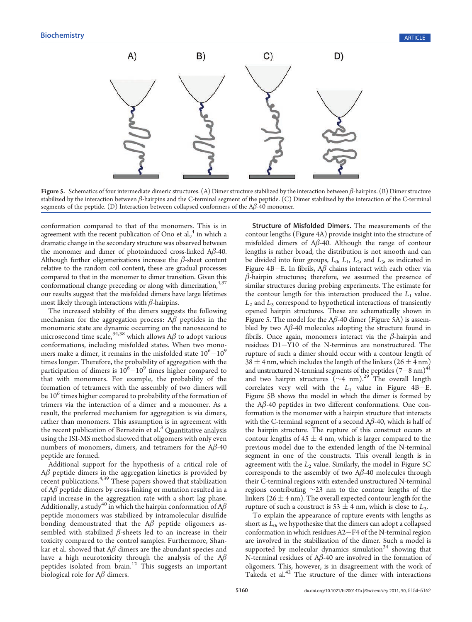

Figure 5. Schematics of four intermediate dimeric structures. (A) Dimer structure stabilized by the interaction between β-hairpins. (B) Dimer structure stabilized by the interaction between  $\beta$ -hairpins and the C-terminal segment of the peptide. (C) Dimer stabilized by the interaction of the C-terminal segments of the peptide. (D) Interaction between collapsed conformers of the  $A\beta$ -40 monomer.

conformation compared to that of the monomers. This is in agreement with the recent publication of Ono et al., $4$  in which a dramatic change in the secondary structure was observed between the monomer and dimer of photoinduced cross-linked Aβ-40. Although further oligomerizations increase the  $\beta$ -sheet content relative to the random coil content, these are gradual processes compared to that in the monomer to dimer transition. Given this conformational change preceding or along with dimerization,<sup>4,37</sup> our results suggest that the misfolded dimers have large lifetimes most likely through interactions with  $\beta$ -hairpins.

The increased stability of the dimers suggests the following mechanism for the aggregation process:  $A\beta$  peptides in the monomeric state are dynamic occurring on the nanosecond to microsecond time scale,  $34,38$  which allows A $\beta$  to adopt various conformations, including misfolded states. When two monomers make a dimer, it remains in the misfolded state  $10^6 - 10^9$ times longer. Therefore, the probability of aggregation with the participation of dimers is  $10^6 - 10^9$  times higher compared to that with monomers. For example, the probability of the formation of tetramers with the assembly of two dimers will be 10<sup>6</sup> times higher compared to probability of the formation of trimers via the interaction of a dimer and a monomer. As a result, the preferred mechanism for aggregation is via dimers, rather than monomers. This assumption is in agreement with the recent publication of Bernstein et al.<sup>3</sup> Quantitative analysis using the ISI-MS method showed that oligomers with only even numbers of monomers, dimers, and tetramers for the  $A\beta$ -40 peptide are formed.

Additional support for the hypothesis of a critical role of  $\Delta\beta$  peptide dimers in the aggregation kinetics is provided by recent publications.<sup>4,39</sup> These papers showed that stabilization of  $A\beta$  peptide dimers by cross-linking or mutation resulted in a rapid increase in the aggregation rate with a short lag phase. Additionally, a study<sup>40</sup> in which the hairpin conformation of A $\beta$ peptide monomers was stabilized by intramolecular disulfide bonding demonstrated that the  $A\beta$  peptide oligomers assembled with stabilized  $\beta$ -sheets led to an increase in their toxicity compared to the control samples. Furthermore, Shankar et al. showed that  $A\beta$  dimers are the abundant species and have a high neurotoxicity through the analysis of the  $A\beta$ peptides isolated from brain.<sup>12</sup> This suggests an important biological role for  $A\beta$  dimers.

Structure of Misfolded Dimers. The measurements of the contour lengths (Figure 4A) provide insight into the structure of misfolded dimers of  $A\beta$ -40. Although the range of contour lengths is rather broad, the distribution is not smooth and can be divided into four groups,  $L_0$ ,  $L_1$ ,  $L_2$ , and  $L_3$ , as indicated in Figure 4B-E. In fibrils,  $A\beta$  chains interact with each other via  $\beta$ -hairpin structures; therefore, we assumed the presence of similar structures during probing experiments. The estimate for the contour length for this interaction produced the  $L_1$  value.  $L_2$  and  $L_3$  correspond to hypothetical interactions of transiently opened hairpin structures. These are schematically shown in Figure 5. The model for the  $A\beta$ -40 dimer (Figure 5A) is assembled by two  $A\beta$ -40 molecules adopting the structure found in fibrils. Once again, monomers interact via the  $\beta$ -hairpin and residues  $D1-Y10$  of the N-terminus are nonstructured. The rupture of such a dimer should occur with a contour length of 38  $\pm$  4 nm, which includes the length of the linkers (26  $\pm$  4 nm) and unstructured N-terminal segments of the peptides  $(7-8 \text{ nm})^{41}$ and two hairpin structures (∼4 nm).<sup>29</sup> The overall length correlates very well with the  $L_1$  value in Figure 4B-E. Figure 5B shows the model in which the dimer is formed by the Aβ-40 peptides in two different conformations. One conformation is the monomer with a hairpin structure that interacts with the C-terminal segment of a second  $A\beta$ -40, which is half of the hairpin structure. The rupture of this construct occurs at contour lengths of 45  $\pm$  4 nm, which is larger compared to the previous model due to the extended length of the N-terminal segment in one of the constructs. This overall length is in agreement with the  $L_2$  value. Similarly, the model in Figure 5C corresponds to the assembly of two  $A\beta$ -40 molecules through their C-terminal regions with extended unstructured N-terminal regions contributing ∼23 nm to the contour lengths of the linkers ( $26 \pm 4$  nm). The overall expected contour length for the rupture of such a construct is  $53 \pm 4$  nm, which is close to  $L_3$ .

To explain the appearance of rupture events with lengths as short as  $L_0$ , we hypothesize that the dimers can adopt a collapsed conformation in which residues  $A2-F4$  of the N-terminal region are involved in the stabilization of the dimer. Such a model is supported by molecular dynamics simulation<sup>34</sup> showing that N-terminal residues of Aβ-40 are involved in the formation of oligomers. This, however, is in disagreement with the work of Takeda et al.<sup>42</sup> The structure of the dimer with interactions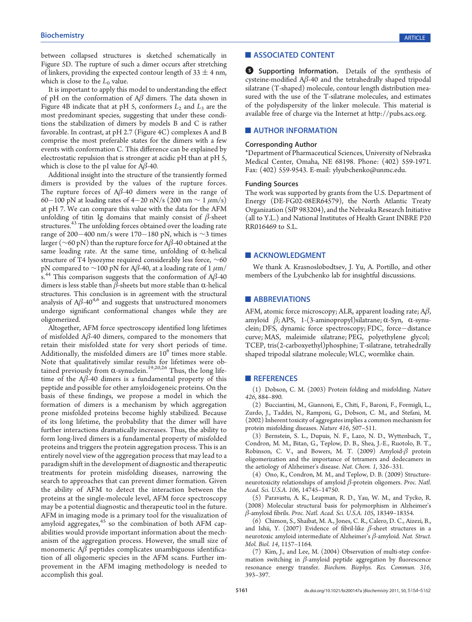between collapsed structures is sketched schematically in Figure 5D. The rupture of such a dimer occurs after stretching of linkers, providing the expected contour length of  $33 \pm 4$  nm, which is close to the  $L_0$  value.

It is important to apply this model to understanding the effect of pH on the conformation of  $A\beta$  dimers. The data shown in Figure 4B indicate that at pH 5, conformers  $L_2$  and  $L_3$  are the most predominant species, suggesting that under these conditions the stabilization of dimers by models B and C is rather favorable. In contrast, at pH 2.7 (Figure 4C) complexes A and B comprise the most preferable states for the dimers with a few events with conformation C. This difference can be explained by electrostatic repulsion that is stronger at acidic pH than at pH 5, which is close to the pI value for  $A\beta$ -40.

Additional insight into the structure of the transiently formed dimers is provided by the values of the rupture forces. The rupture forces of  $A\beta$ -40 dimers were in the range of 60−100 pN at loading rates of 4−20 nN/s (200 nm  $\sim 1 \ \mu \text{m/s}$ ) at pH 7. We can compare this value with the data for the AFM unfolding of titin Ig domains that mainly consist of  $\beta$ -sheet structures.<sup>43</sup> The unfolding forces obtained over the loading rate range of 200–400 nm/s were 170–180 pN, which is ∼3 times larger ( $\sim$ 60 pN) than the rupture force for A $\beta$ -40 obtained at the same loading rate. At the same time, unfolding of  $\alpha$ -helical structure of T4 lysozyme required considerably less force, ∼60 pN compared to  $\sim$ 100 pN for A $\beta$ -40, at a loading rate of 1  $\mu$ m/ s.<sup>44</sup> This comparison suggests that the conformation of  $A\beta$ -40 dimers is less stable than  $β$ -sheets but more stable than α-helical structures. This conclusion is in agreement with the structural analysis of  $A\beta$ -40<sup>4,6</sup> and suggests that unstructured monomers undergo significant conformational changes while they are oligomerized.

Altogether, AFM force spectroscopy identified long lifetimes of misfolded  $A\beta$ -40 dimers, compared to the monomers that retain their misfolded state for very short periods of time. Additionally, the misfolded dimers are  $10<sup>6</sup>$  times more stable. Note that qualitatively similar results for lifetimes were obtained previously from  $\alpha$ -synuclein.<sup>19,20,26</sup> Thus, the long lifetime of the  $A\beta$ -40 dimers is a fundamental property of this peptide and possible for other amyloidogeneic proteins. On the basis of these findings, we propose a model in which the formation of dimers is a mechanism by which aggregation prone misfolded proteins become highly stabilized. Because of its long lifetime, the probability that the dimer will have further interactions dramatically increases. Thus, the ability to form long-lived dimers is a fundamental property of misfolded proteins and triggers the protein aggregation process. This is an entirely novel view of the aggregation process that may lead to a paradigm shift in the development of diagnostic and therapeutic treatments for protein misfolding diseases, narrowing the search to approaches that can prevent dimer formation. Given the ability of AFM to detect the interaction between the proteins at the single-molecule level, AFM force spectroscopy may be a potential diagnostic and therapeutic tool in the future. AFM in imaging mode is a primary tool for the visualization of amyloid aggregates, $45$  so the combination of both AFM capabilities would provide important information about the mechanism of the aggregation process. However, the small size of monomeric  $A\beta$  peptides complicates unambiguous identification of all oligomeric species in the AFM scans. Further improvement in the AFM imaging methodology is needed to accomplish this goal.

## **ASSOCIATED CONTENT**

S Supporting Information. Details of the synthesis of cysteine-modified  $A\beta$ -40 and the tetrahedrally shaped tripodal silatrane (T-shaped) molecule, contour length distribution measured with the use of the T-silatrane molecules, and estimates of the polydispersity of the linker molecule. This material is available free of charge via the Internet at http://pubs.acs.org.

# **AUTHOR INFORMATION**

#### Corresponding Author

\*Department of Pharmaceutical Sciences, University of Nebraska Medical Center, Omaha, NE 68198. Phone: (402) 559-1971. Fax: (402) 559-9543. E-mail: ylyubchenko@unmc.edu.

#### Funding Sources

The work was supported by grants from the U.S. Department of Energy (DE-FG02-08ER64579), the North Atlantic Treaty Organization (SfP 983204), and the Nebraska Research Initiative (all to Y.L.) and National Institutes of Health Grant INBRE P20 RR016469 to S.L.

#### **ACKNOWLEDGMENT**

We thank A. Krasnoslobodtsev, J. Yu, A. Portillo, and other members of the Lyubchenko lab for insightful discussions.

### **ABBREVIATIONS**

AFM, atomic force microscopy; ALR, apparent loading rate;  $A\beta$ , amyloid  $β$ ; APS, 1-(3-aminopropyl)silatrane; α-Syn, α-synuclein; DFS, dynamic force spectroscopy; FDC, force-distance curve; MAS, maleimide silatrane; PEG, polyethylene glycol; TCEP, tris(2-carboxyethyl)phosphine; T-silatrane, tetrahedrally shaped tripodal silatrane molecule; WLC, wormlike chain.

## **REFERENCES**

(1) Dobson, C. M. (2003) Protein folding and misfolding. Nature 426, 884–890.

(2) Bucciantini, M., Giannoni, E., Chiti, F., Baroni, F., Formigli, L., Zurdo, J., Taddei, N., Ramponi, G., Dobson, C. M., and Stefani, M. (2002) Inherent toxicity of aggregates implies a common mechanism for protein misfolding diseases. Nature 416, 507–511.

(3) Bernstein, S. L., Dupuis, N. F., Lazo, N. D., Wyttenbach, T., Condron, M. M., Bitan, G., Teplow, D. B., Shea, J.-E., Ruotolo, B. T., Robinson, C. V., and Bowers, M. T. (2009) Amyloid- $\beta$  protein oligomerization and the importance of tetramers and dodecamers in the aetiology of Alzheimer's disease. Nat. Chem. 1, 326–331.

(4) Ono, K., Condron, M. M., and Teplow, D. B. (2009) Structureneurotoxicity relationships of amyloid  $β$ -protein oligomers. Proc. Natl. Acad. Sci. U.S.A. 106, 14745–14750.

(5) Paravastu, A. K., Leapman, R. D., Yau, W. M., and Tycko, R. (2008) Molecular structural basis for polymorphism in Alzheimer's β-amyloid fibrils. Proc. Natl. Acad. Sci. U.S.A. 105, 18349–18354.

(6) Chimon, S., Shaibat, M. A., Jones, C. R., Calero, D. C., Aizezi, B., and Ishii, Y. (2007) Evidence of fibril-like  $\beta$ -sheet structures in a neurotoxic amyloid intermediate of Alzheimer's  $β$ -amyloid. Nat. Struct. Mol. Biol. 14, 1157–1164.

(7) Kim, J., and Lee, M. (2004) Observation of multi-step conformation switching in  $\beta$ -amyloid peptide aggregation by fluorescence resonance energy transfer. Biochem. Biophys. Res. Commun. 316, 393–397.